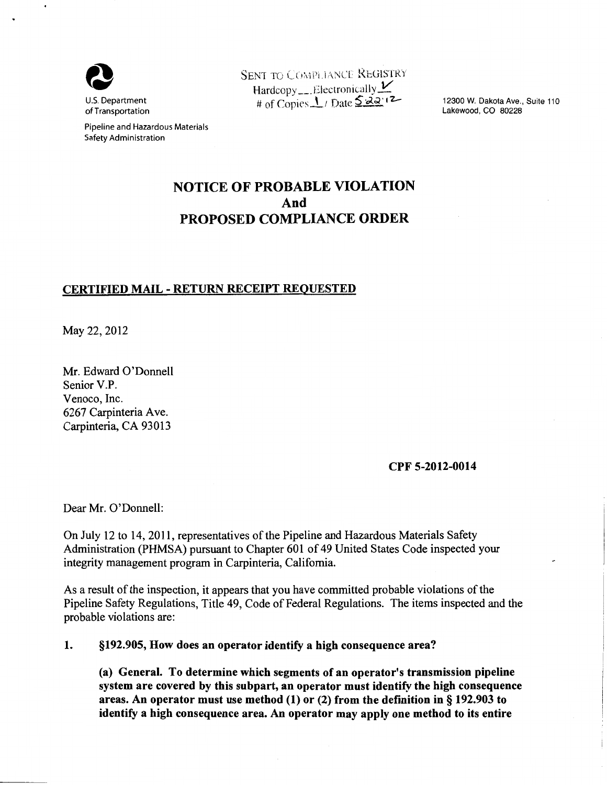

Pipeline and Hazardous Materials Safety Administration

SENT TO COMPLIANCE REGISTRY Hardcopy \_\_ J:!.lectronically *V*  # of Copies <u>1</u> / Date  $\frac{522.12}{-}$ 

12300 W. Dakota Ave., Suite 110 Lakewood, CO 80228

# NOTICE OF PROBABLE VIOLATION And PROPOSED COMPLIANCE ORDER

## CERTIFIED MAIL- RETURN RECEIPT REQUESTED

May 22,2012

Mr. Edward O'Donnell Senior V.P. Venoco, Inc. 6267 Carpinteria Ave. Carpinteria, CA 93013

#### CPF 5-2012-0014

Dear Mr. O'Donnell:

On July 12 to 14, 2011, representatives of the Pipeline and Hazardous Materials Safety Administration (PHMSA) pursuant to Chapter 601 of 49 United States Code inspected your integrity management program in Carpinteria, California.

As a result of the inspection, it appears that you have committed probable violations of the Pipeline Safety Regulations, Title 49, Code of Federal Regulations. The items inspected and the probable violations are:

#### 1. §192.905, How does an operator identify a high consequence area?

(a) General. To determine which segments of an operator's transmission pipeline system are covered by this subpart, an operator must identify the high consequence areas. An operator must use method (1) or (2) from the definition in§ 192.903 to identify a high consequence area. An operator may apply one method to its entire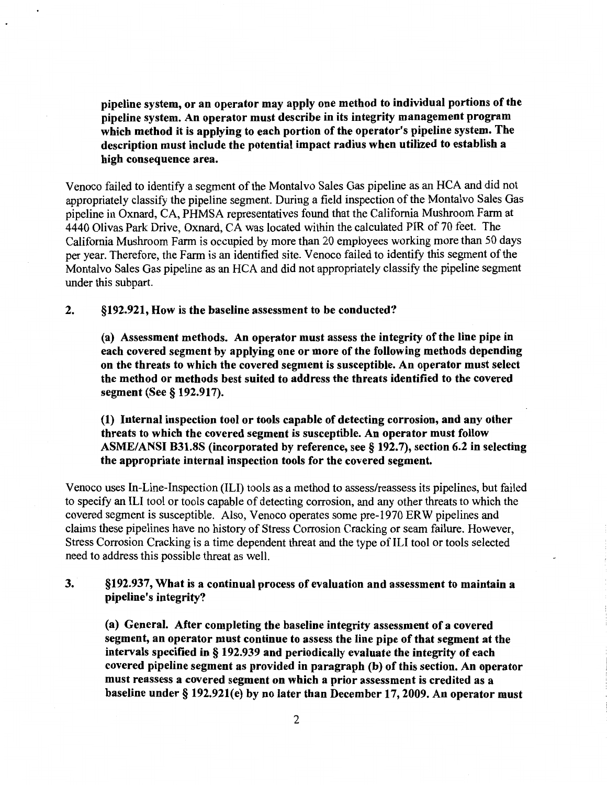pipeline system, or an operator may apply one method to individual portions of the pipeline system. An operator must describe in its integrity management program which method it is applying to each portion of the operator's pipeline system. The description must include the potential impact radius when utilized to establish a high consequence area.

Venoco failed to identify a segment of the Montalvo Sales Gas pipeline as an HCA and did not appropriately classify the pipeline segment. During a field inspection of the Montalvo Sales Gas pipeline in Oxnard, CA, PHMSA representatives found that the California Mushroom Farm at 4440 Olivas Park Drive, Oxnard, CA was located within the calculated PIR of 70 feet. The California Mushroom Farm is occupied by more than 20 employees working more than 50 days per year. Therefore, the Farm is an identified site. Venoco failed to identify this segment of the Montalvo Sales Gas pipeline as an HCA and did not appropriately classify the pipeline segment under this subpart.

2. §192.921, How is the baseline assessment to be conducted?

(a) Assessment methods. An operator must assess the integrity of the line pipe in each covered segment by applying one or more of the following methods depending on the threats to which the covered segment is susceptible. An operator must select the method or methods best suited to address the threats identified to the covered segment (See § 192.917).

(1) Internal inspection tool or tools capable of detecting corrosion, and any other threats to which the covered segment is susceptible. An operator must follow ASME/ANSI B31.8S (incorporated by reference, see§ 192.7), section 6.2 in selecting the appropriate internal inspection tools for the covered segment.

Venoco uses In-Line-Inspection (ILl) tools as a method to assess/reassess its pipelines, but failed to specify an ILl tool or tools capable of detecting corrosion, and any other threats to which the covered segment is susceptible. Also, Venoco operates some pre-1970 ER W pipelines and claims these pipelines have no history of Stress Corrosion Cracking or seam failure. However, Stress Corrosion Cracking is a time dependent threat and the type of ILl tool or tools selected need to address this possible threat as well.

### 3. §192.937, What is a continual process of evaluation and assessment to maintain a pipeline's integrity?

(a) General. After completing the baseline integrity assessment of a covered segment, an operator must continue to assess the line pipe of that segment at the intervals specified in § 192.939 and periodically evaluate the integrity of each covered pipeline segment as provided in paragraph (b) of this section. An operator must reassess a covered segment on which a prior assessment is credited as a baseline under§ 192.921(e) by no later than December 17,2009. An operator must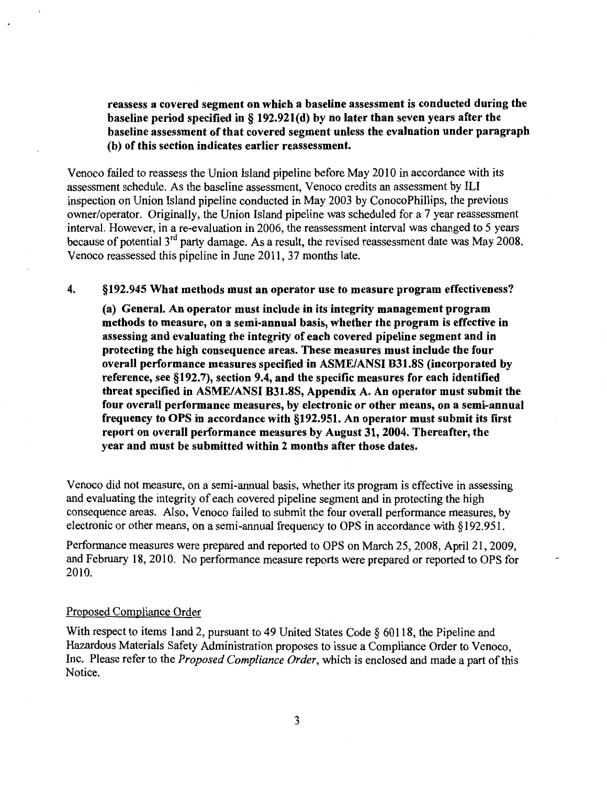reassess a covered segment on which a baseline assessment is conducted during the baseline period specified in§ 192.921(d) by no later than seven years after the baseline assessment of that covered segment unless the evaluation under paragraph (b) of this section indicates earlier reassessment.

Venoco failed to reassess the Union Island pipeline before May 2010 in accordance with its assessment schedule. As the baseline assessment, Venoco credits an assessment by ILl inspection on Union Island pipeline conducted in May 2003 by ConocoPhillips, the previous owner/operator. Originally, the Union Island pipeline was scheduled for a 7 year reassessment interval. However, in a re-evaluation in 2006, the reassessment interval was changed to 5 years because of potential  $3<sup>rd</sup>$  party damage. As a result, the revised reassessment date was May 2008. Venoco reassessed this pipeline in June 2011, 37 months late.

#### 4. §192.945 What methods must an operator use to measure program effectiveness?

(a) General. An operator must include in its integrity management program methods to measure, on a semi-annual basis, whether the program is effective in assessing and evaluating the integrity of each covered pipeline segment and in protecting the high consequence areas. These measures must include the four overall performance measures specified in ASME/ANSI B31.8S (incorporated by reference, see §192.7), section 9.4, and the specific measures for each identified threat specified in ASME/ANSI B31.8S, Appendix A. An operator must submit the four overall performance measures, by electronic or other means, on a semi-annual frequency to OPS in accordance with §192.951. An operator must submit its first report on overall performance measures by August 31, 2004. Thereafter, the year and must be submitted within 2 months after those dates.

Venoco did not measure, on a semi-annual basis, whether its program is effective in assessing and evaluating the integrity of each covered pipeline segment and in protecting the high consequence areas. Also, Venoco failed to submit the four overall performance measures, by electronic or other means, on a semi-annual frequency to OPS in accordance with § 192.951.

Performance measures were prepared and reported to OPS on March 25, 2008, April 21, 2009, and February 18,2010. No performance measure reports were prepared or reported to OPS for 2010.

#### Proposed Compliance Order

With respect to items 1 and 2, pursuant to 49 United States Code § 60118, the Pipeline and Hazardous Materials Safety Administration proposes to issue a Compliance Order to Venoco, Inc. Please refer to the *Proposed Compliance Order,* which is enclosed and made a part of this Notice.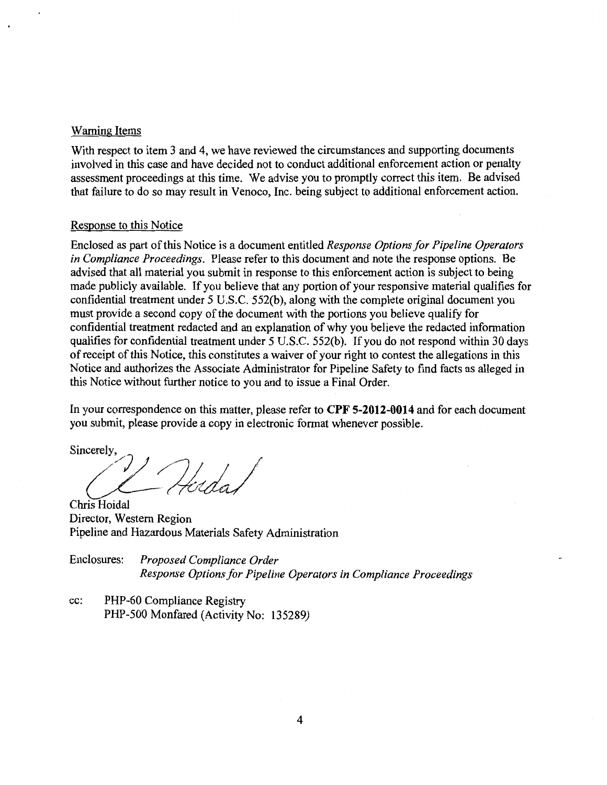#### Warning Items

With respect to item 3 and 4, we have reviewed the circumstances and supporting documents involved in this case and have decided not to conduct additional enforcement action or penalty assessment proceedings at this time. We advise you to promptly correct this item. Be advised that failure to do so may result in Venoco, Inc. being subject to additional enforcement action.

#### Response to this Notice

Enclosed as part of this Notice is a document entitled *Response Options for Pipeline Operators in Compliance Proceedings.* Please refer to this document and note the response options. Be advised that all material you submit in response to this enforcement action is subject to being made publicly available. If you believe that any portion of your responsive material qualifies for confidential treatment under 5 U.S.C. 552(b), along with the complete original document you must provide a second copy of the document with the portions you believe qualify for confidential treatment redacted and an explanation of why you believe the redacted information qualifies for confidential treatment under 5 U.S.C. 552(b). If you do not respond within 30 days of receipt of this Notice, this constitutes a waiver of your right to contest the allegations in this Notice and authorizes the Associate Administrator for Pipeline Safety to find facts as alleged in this Notice without further notice to you and to issue a Final Order.

In your correspondence on this matter, please refer to **CPF 5-2012-0014** and for each document you submit, please provide a copy in electronic format whenever possible.

Sincerely,<br> $\mathcal{L}$ 

Chris Hoidal Director, Western Region Pipeline and Hazardous Materials Safety Administration

Enclosures: *Proposed Compliance Order Response Options for Pipeline Operators in Compliance Proceedings* 

cc: PHP-60 Compliance Registry PHP-500 Monfared (Activity No: 135289)